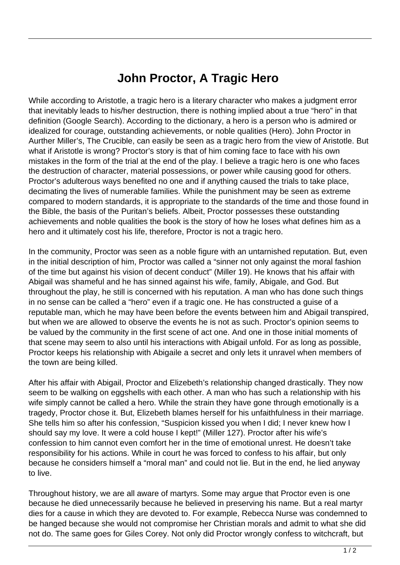## **John Proctor, A Tragic Hero**

While according to Aristotle, a tragic hero is a literary character who makes a judgment error that inevitably leads to his/her destruction, there is nothing implied about a true "hero" in that definition (Google Search). According to the dictionary, a hero is a person who is admired or idealized for courage, outstanding achievements, or noble qualities (Hero). John Proctor in Aurther Miller's, The Crucible, can easily be seen as a tragic hero from the view of Aristotle. But what if Aristotle is wrong? Proctor's story is that of him coming face to face with his own mistakes in the form of the trial at the end of the play. I believe a tragic hero is one who faces the destruction of character, material possessions, or power while causing good for others. Proctor's adulterous ways benefited no one and if anything caused the trials to take place, decimating the lives of numerable families. While the punishment may be seen as extreme compared to modern standards, it is appropriate to the standards of the time and those found in the Bible, the basis of the Puritan's beliefs. Albeit, Proctor possesses these outstanding achievements and noble qualities the book is the story of how he loses what defines him as a hero and it ultimately cost his life, therefore, Proctor is not a tragic hero.

In the community, Proctor was seen as a noble figure with an untarnished reputation. But, even in the initial description of him, Proctor was called a "sinner not only against the moral fashion of the time but against his vision of decent conduct" (Miller 19). He knows that his affair with Abigail was shameful and he has sinned against his wife, family, Abigale, and God. But throughout the play, he still is concerned with his reputation. A man who has done such things in no sense can be called a "hero" even if a tragic one. He has constructed a guise of a reputable man, which he may have been before the events between him and Abigail transpired, but when we are allowed to observe the events he is not as such. Proctor's opinion seems to be valued by the community in the first scene of act one. And one in those initial moments of that scene may seem to also until his interactions with Abigail unfold. For as long as possible, Proctor keeps his relationship with Abigaile a secret and only lets it unravel when members of the town are being killed.

After his affair with Abigail, Proctor and Elizebeth's relationship changed drastically. They now seem to be walking on eggshells with each other. A man who has such a relationship with his wife simply cannot be called a hero. While the strain they have gone through emotionally is a tragedy, Proctor chose it. But, Elizebeth blames herself for his unfaithfulness in their marriage. She tells him so after his confession, "Suspicion kissed you when I did; I never knew how I should say my love. It were a cold house I kept!" (Miller 127). Proctor after his wife's confession to him cannot even comfort her in the time of emotional unrest. He doesn't take responsibility for his actions. While in court he was forced to confess to his affair, but only because he considers himself a "moral man" and could not lie. But in the end, he lied anyway to live.

Throughout history, we are all aware of martyrs. Some may argue that Proctor even is one because he died unnecessarily because he believed in preserving his name. But a real martyr dies for a cause in which they are devoted to. For example, Rebecca Nurse was condemned to be hanged because she would not compromise her Christian morals and admit to what she did not do. The same goes for Giles Corey. Not only did Proctor wrongly confess to witchcraft, but